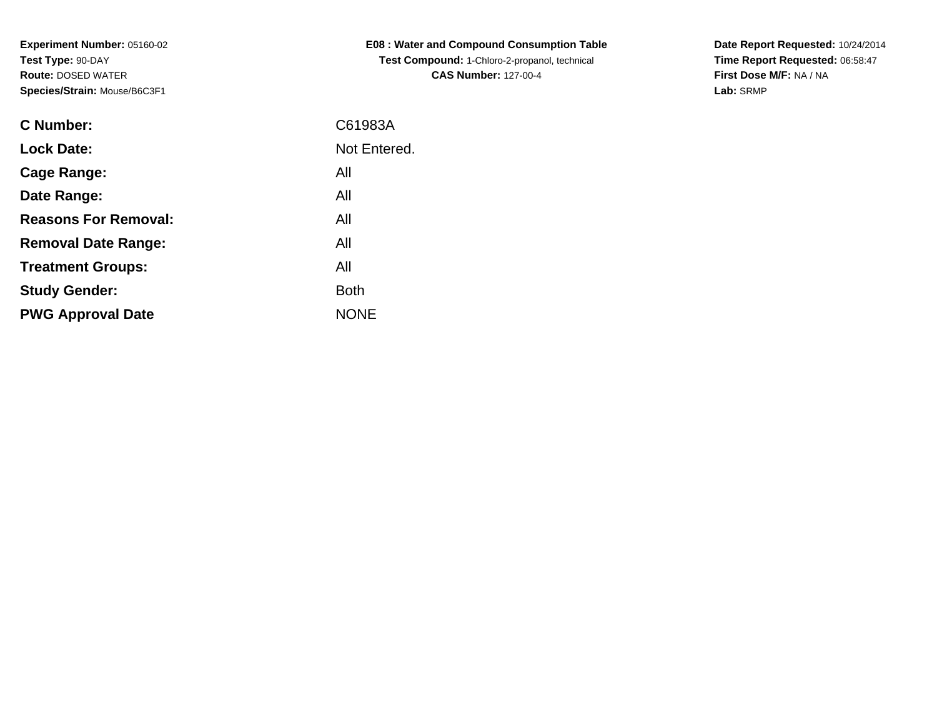**Experiment Number:** 05160-02**Test Type:** 90-DAY **Route:** DOSED WATER**Species/Strain:** Mouse/B6C3F1

| <b>C Number:</b>            | C61983A      |
|-----------------------------|--------------|
| <b>Lock Date:</b>           | Not Entered. |
| <b>Cage Range:</b>          | All          |
| Date Range:                 | All          |
| <b>Reasons For Removal:</b> | All          |
| <b>Removal Date Range:</b>  | All          |
| <b>Treatment Groups:</b>    | All          |
| <b>Study Gender:</b>        | <b>Both</b>  |
| <b>PWG Approval Date</b>    | <b>NONE</b>  |
|                             |              |

**E08 : Water and Compound Consumption TableTest Compound:** 1-Chloro-2-propanol, technical **CAS Number:** 127-00-4

**Date Report Requested:** 10/24/2014 **Time Report Requested:** 06:58:47**First Dose M/F:** NA / NA**Lab:** SRMP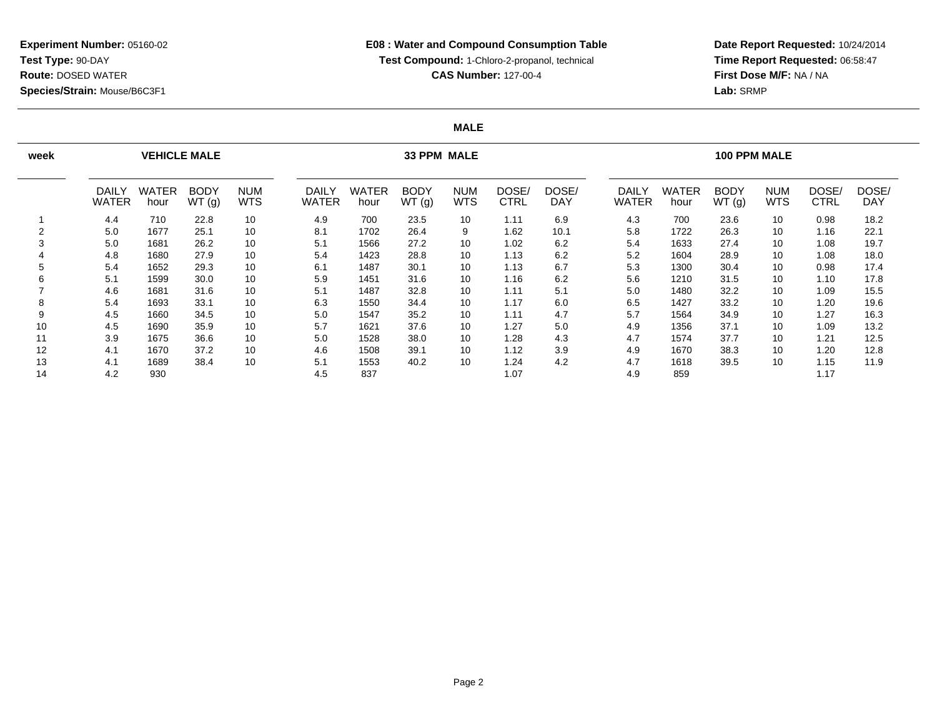**Date Report Requested:** 10/24/2014 **Time Report Requested:** 06:58:47**First Dose M/F:** NA / NA**Lab:** SRMP

#### **MALE**

| week   |                              | <b>VEHICLE MALE</b>  |                      |                          |                       |               | 33 PPM MALE          |                          |                      | <b>100 PPM MALE</b> |                       |                      |                      |                          |               |                     |
|--------|------------------------------|----------------------|----------------------|--------------------------|-----------------------|---------------|----------------------|--------------------------|----------------------|---------------------|-----------------------|----------------------|----------------------|--------------------------|---------------|---------------------|
|        | <b>DAILY</b><br><b>WATER</b> | <b>WATER</b><br>hour | <b>BODY</b><br>WT(g) | <b>NUM</b><br><b>WTS</b> | DAILY<br><b>WATER</b> | WATER<br>hour | <b>BODY</b><br>WT(g) | <b>NUM</b><br><b>WTS</b> | DOSE/<br><b>CTRL</b> | DOSE/<br><b>DAY</b> | DAILY<br><b>WATER</b> | <b>WATER</b><br>hour | <b>BODY</b><br>WT(g) | <b>NUM</b><br><b>WTS</b> | DOSE/<br>CTRL | DOSE/<br><b>DAY</b> |
|        | 4.4                          | 710                  | 22.8                 | 10                       | 4.9                   | 700           | 23.5                 | 10                       | 1.11                 | 6.9                 | 4.3                   | 700                  | 23.6                 | 10                       | 0.98          | 18.2                |
| $\sim$ | 5.0                          | 1677                 | 25.1                 | 10                       | 8.1                   | 1702          | 26.4                 | 9                        | 1.62                 | 10.1                | 5.8                   | 1722                 | 26.3                 | 10                       | 1.16          | 22.1                |
|        | 5.0                          | 1681                 | 26.2                 | 10                       | 5.1                   | 1566          | 27.2                 | 10                       | 1.02                 | 6.2                 | 5.4                   | 1633                 | 27.4                 | 10                       | 1.08          | 19.7                |
|        | 4.8                          | 1680                 | 27.9                 | 10                       | 5.4                   | 1423          | 28.8                 | 10                       | 1.13                 | 6.2                 | 5.2                   | 1604                 | 28.9                 | 10                       | 1.08          | 18.0                |
| 5      | 5.4                          | 1652                 | 29.3                 | 10                       | 6.1                   | 1487          | 30.1                 | 10                       | 1.13                 | 6.7                 | 5.3                   | 1300                 | 30.4                 | 10                       | 0.98          | 17.4                |
| 6      | 5.1                          | 1599                 | 30.0                 | 10                       | 5.9                   | 1451          | 31.6                 | 10                       | 1.16                 | 6.2                 | 5.6                   | 1210                 | 31.5                 | 10                       | 1.10          | 17.8                |
|        | 4.6                          | 1681                 | 31.6                 | 10                       | 5.1                   | 1487          | 32.8                 | 10                       | 1.11                 | 5.1                 | 5.0                   | 1480                 | 32.2                 | 10                       | 1.09          | 15.5                |
| 8      | 5.4                          | 1693                 | 33.1                 | 10                       | 6.3                   | 1550          | 34.4                 | 10                       | 1.17                 | 6.0                 | 6.5                   | 1427                 | 33.2                 | 10                       | 1.20          | 19.6                |
| 9      | 4.5                          | 1660                 | 34.5                 | 10                       | 5.0                   | 1547          | 35.2                 | 10                       | 1.11                 | 4.7                 | 5.7                   | 1564                 | 34.9                 | 10                       | 1.27          | 16.3                |
| 10     | 4.5                          | 1690                 | 35.9                 | 10                       | 5.7                   | 1621          | 37.6                 | 10                       | 1.27                 | 5.0                 | 4.9                   | 1356                 | 37.1                 | 10                       | 1.09          | 13.2                |
| 11     | 3.9                          | 1675                 | 36.6                 | 10                       | 5.0                   | 1528          | 38.0                 | 10                       | 1.28                 | 4.3                 | 4.7                   | 1574                 | 37.7                 | 10                       | 1.21          | 12.5                |
| 12     | 4.1                          | 1670                 | 37.2                 | 10                       | 4.6                   | 1508          | 39.1                 | 10                       | 1.12                 | 3.9                 | 4.9                   | 1670                 | 38.3                 | 10                       | 1.20          | 12.8                |
| 13     | 4.1                          | 1689                 | 38.4                 | 10                       | 5.1                   | 1553          | 40.2                 | 10                       | 1.24                 | 4.2                 | 4.7                   | 1618                 | 39.5                 | 10                       | 1.15          | 11.9                |
| 14     | 4.2                          | 930                  |                      |                          | 4.5                   | 837           |                      |                          | 1.07                 |                     | 4.9                   | 859                  |                      |                          | 1.17          |                     |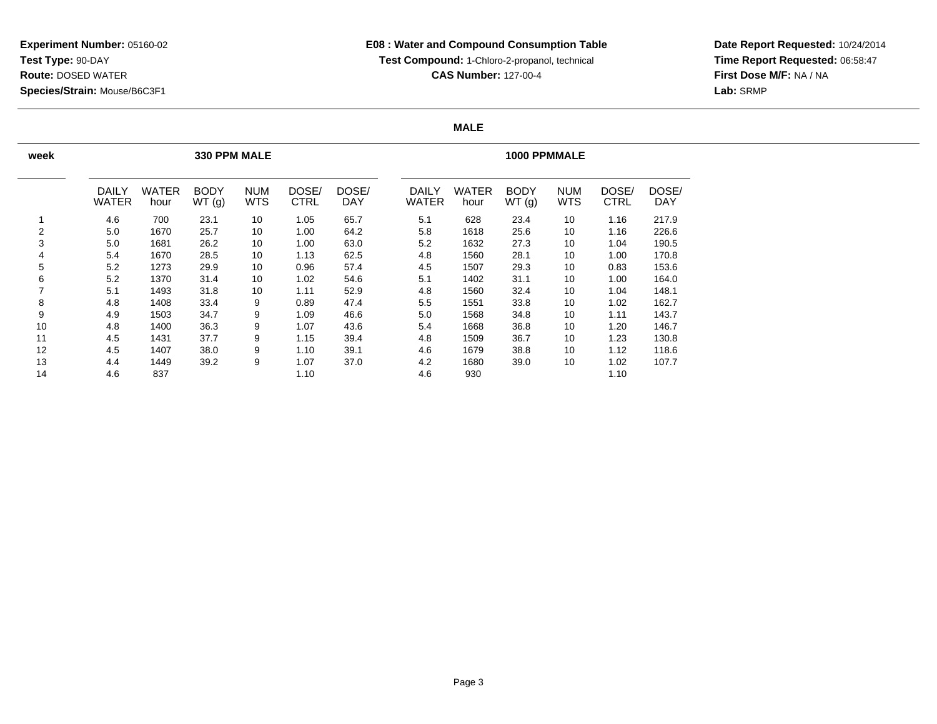**Date Report Requested:** 10/24/2014 **Time Report Requested:** 06:58:47**First Dose M/F:** NA / NA**Lab:** SRMP

#### **MALE**

| week |                              |                      | 330 PPM MALE         |                          |                      |                     | <b>1000 PPMMALE</b>          |                      |                      |                          |                      |              |  |  |
|------|------------------------------|----------------------|----------------------|--------------------------|----------------------|---------------------|------------------------------|----------------------|----------------------|--------------------------|----------------------|--------------|--|--|
|      | <b>DAILY</b><br><b>WATER</b> | <b>WATER</b><br>hour | <b>BODY</b><br>WT(g) | <b>NUM</b><br><b>WTS</b> | DOSE/<br><b>CTRL</b> | DOSE/<br><b>DAY</b> | <b>DAILY</b><br><b>WATER</b> | <b>WATER</b><br>hour | <b>BODY</b><br>WT(g) | <b>NUM</b><br><b>WTS</b> | DOSE/<br><b>CTRL</b> | DOSE/<br>DAY |  |  |
|      | 4.6                          | 700                  | 23.1                 | 10                       | 1.05                 | 65.7                | 5.1                          | 628                  | 23.4                 | 10                       | 1.16                 | 217.9        |  |  |
| 2    | 5.0                          | 1670                 | 25.7                 | 10                       | 1.00                 | 64.2                | 5.8                          | 1618                 | 25.6                 | 10                       | 1.16                 | 226.6        |  |  |
| 3    | 5.0                          | 1681                 | 26.2                 | 10                       | 1.00                 | 63.0                | 5.2                          | 1632                 | 27.3                 | 10                       | 1.04                 | 190.5        |  |  |
| 4    | 5.4                          | 1670                 | 28.5                 | 10                       | 1.13                 | 62.5                | 4.8                          | 1560                 | 28.1                 | 10                       | 1.00                 | 170.8        |  |  |
| 5    | 5.2                          | 1273                 | 29.9                 | 10                       | 0.96                 | 57.4                | 4.5                          | 1507                 | 29.3                 | 10                       | 0.83                 | 153.6        |  |  |
| 6    | 5.2                          | 1370                 | 31.4                 | 10                       | 1.02                 | 54.6                | 5.1                          | 1402                 | 31.1                 | 10                       | 1.00                 | 164.0        |  |  |
|      | 5.1                          | 1493                 | 31.8                 | 10                       | 1.11                 | 52.9                | 4.8                          | 1560                 | 32.4                 | 10                       | 1.04                 | 148.1        |  |  |
| 8    | 4.8                          | 1408                 | 33.4                 | 9                        | 0.89                 | 47.4                | 5.5                          | 1551                 | 33.8                 | 10                       | 1.02                 | 162.7        |  |  |
| 9    | 4.9                          | 1503                 | 34.7                 | 9                        | 1.09                 | 46.6                | 5.0                          | 1568                 | 34.8                 | 10                       | 1.11                 | 143.7        |  |  |
| 10   | 4.8                          | 1400                 | 36.3                 | 9                        | 1.07                 | 43.6                | 5.4                          | 1668                 | 36.8                 | 10                       | 1.20                 | 146.7        |  |  |
| 11   | 4.5                          | 1431                 | 37.7                 | 9                        | 1.15                 | 39.4                | 4.8                          | 1509                 | 36.7                 | 10                       | 1.23                 | 130.8        |  |  |
| 12   | 4.5                          | 1407                 | 38.0                 | 9                        | 1.10                 | 39.1                | 4.6                          | 1679                 | 38.8                 | 10                       | 1.12                 | 118.6        |  |  |
| 13   | 4.4                          | 1449                 | 39.2                 | 9                        | 1.07                 | 37.0                | 4.2                          | 1680                 | 39.0                 | 10                       | 1.02                 | 107.7        |  |  |
| 14   | 4.6                          | 837                  |                      |                          | 1.10                 |                     | 4.6                          | 930                  |                      |                          | 1.10                 |              |  |  |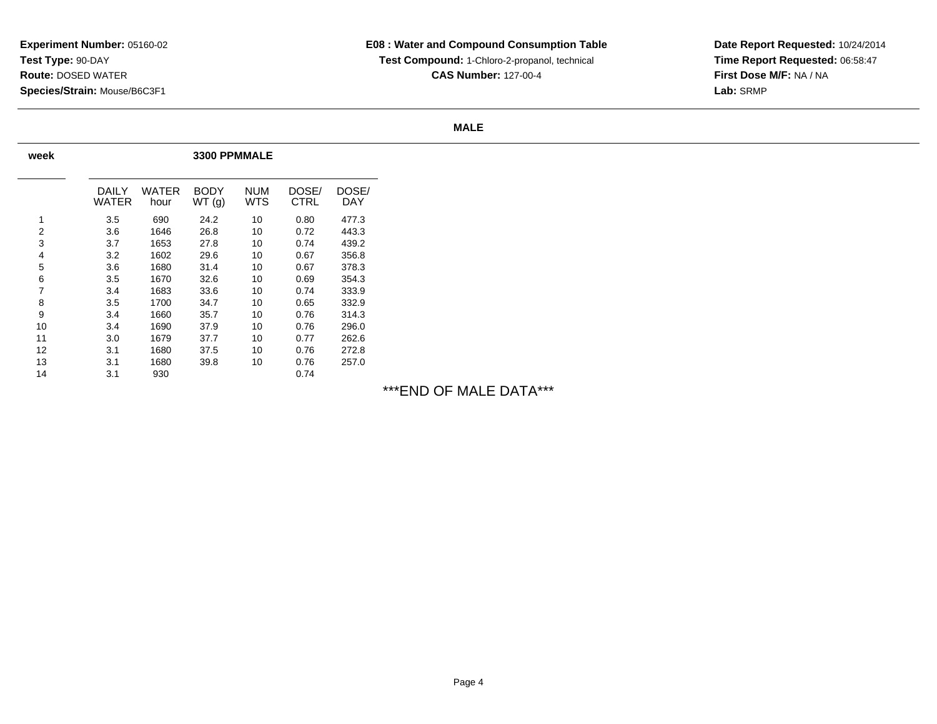**Date Report Requested:** 10/24/2014 **Time Report Requested:** 06:58:47**First Dose M/F:** NA / NA**Lab:** SRMP

#### **MALE**

| week |                |               |                      | 3300 PPMMALE      |               |              |  |  |  |  |  |  |
|------|----------------|---------------|----------------------|-------------------|---------------|--------------|--|--|--|--|--|--|
|      | DAILY<br>WATER | WATER<br>hour | <b>BODY</b><br>WT(g) | <b>NUM</b><br>WTS | DOSE/<br>CTRL | DOSE/<br>DAY |  |  |  |  |  |  |
| 1    | 3.5            | 690           | 24.2                 | 10                | 0.80          | 477.3        |  |  |  |  |  |  |
| 2    | 3.6            | 1646          | 26.8                 | 10                | 0.72          | 443.3        |  |  |  |  |  |  |
| 3    | 3.7            | 1653          | 27.8                 | 10                | 0.74          | 439.2        |  |  |  |  |  |  |
| 4    | 3.2            | 1602          | 29.6                 | 10                | 0.67          | 356.8        |  |  |  |  |  |  |
| 5    | 3.6            | 1680          | 31.4                 | 10                | 0.67          | 378.3        |  |  |  |  |  |  |
| 6    | 3.5            | 1670          | 32.6                 | 10                | 0.69          | 354.3        |  |  |  |  |  |  |
| 7    | 3.4            | 1683          | 33.6                 | 10                | 0.74          | 333.9        |  |  |  |  |  |  |
| 8    | 3.5            | 1700          | 34.7                 | 10                | 0.65          | 332.9        |  |  |  |  |  |  |
| 9    | 3.4            | 1660          | 35.7                 | 10                | 0.76          | 314.3        |  |  |  |  |  |  |
| 10   | 3.4            | 1690          | 37.9                 | 10                | 0.76          | 296.0        |  |  |  |  |  |  |
| 11   | 3.0            | 1679          | 37.7                 | 10                | 0.77          | 262.6        |  |  |  |  |  |  |
| 12   | 3.1            | 1680          | 37.5                 | 10                | 0.76          | 272.8        |  |  |  |  |  |  |
| 13   | 3.1            | 1680          | 39.8                 | 10                | 0.76          | 257.0        |  |  |  |  |  |  |
| 14   | 3.1            | 930           |                      |                   | 0.74          |              |  |  |  |  |  |  |

# \*\*\*END OF MALE DATA\*\*\*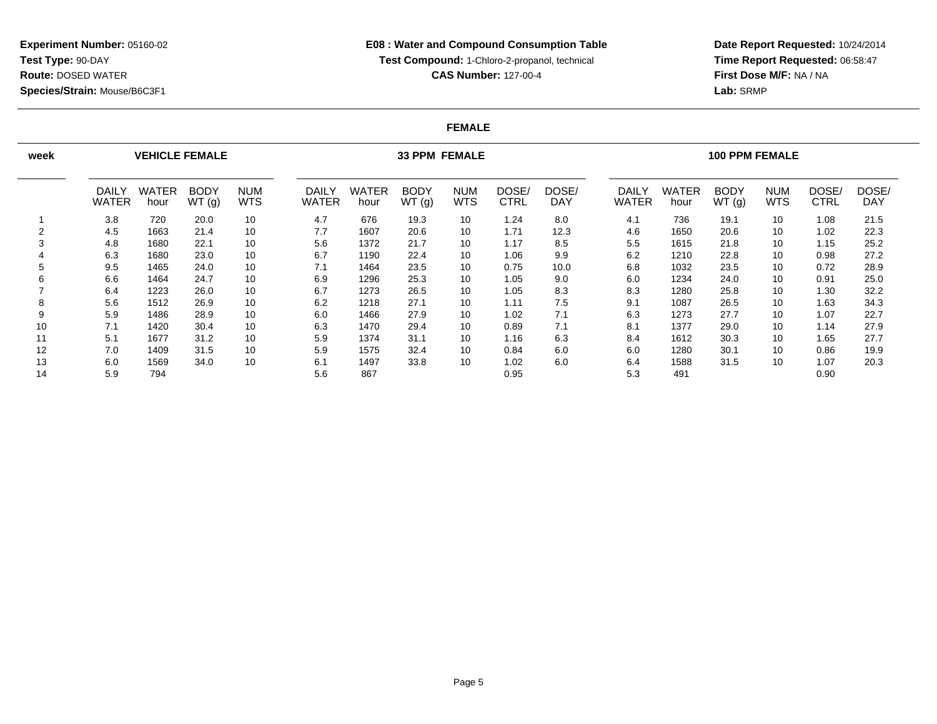**Date Report Requested:** 10/24/2014 **Time Report Requested:** 06:58:47**First Dose M/F:** NA / NA**Lab:** SRMP

#### **FEMALE**

| week   |                              | <b>VEHICLE FEMALE</b> |                      |                          |                       |                      | <b>33 PPM FEMALE</b> |                          |                      | <b>100 PPM FEMALE</b> |                       |                      |                      |                          |               |                     |
|--------|------------------------------|-----------------------|----------------------|--------------------------|-----------------------|----------------------|----------------------|--------------------------|----------------------|-----------------------|-----------------------|----------------------|----------------------|--------------------------|---------------|---------------------|
|        | <b>DAILY</b><br><b>WATER</b> | <b>WATER</b><br>hour  | <b>BODY</b><br>WT(g) | <b>NUM</b><br><b>WTS</b> | DAILY<br><b>WATER</b> | <b>WATER</b><br>hour | <b>BODY</b><br>WT(g) | <b>NUM</b><br><b>WTS</b> | DOSE/<br><b>CTRL</b> | DOSE/<br><b>DAY</b>   | DAILY<br><b>WATER</b> | <b>WATER</b><br>hour | <b>BODY</b><br>WT(g) | <b>NUM</b><br><b>WTS</b> | DOSE/<br>CTRL | DOSE/<br><b>DAY</b> |
|        | 3.8                          | 720                   | 20.0                 | 10                       | 4.7                   | 676                  | 19.3                 | 10                       | 1.24                 | 8.0                   | 4.1                   | 736                  | 19.1                 | 10                       | 1.08          | 21.5                |
| $\sim$ | 4.5                          | 1663                  | 21.4                 | 10                       | 7.7                   | 1607                 | 20.6                 | 10                       | 1.71                 | 12.3                  | 4.6                   | 1650                 | 20.6                 | 10                       | 1.02          | 22.3                |
|        | 4.8                          | 1680                  | 22.1                 | 10                       | 5.6                   | 1372                 | 21.7                 | 10                       | 1.17                 | 8.5                   | 5.5                   | 1615                 | 21.8                 | 10                       | 1.15          | 25.2                |
|        | 6.3                          | 1680                  | 23.0                 | 10                       | 6.7                   | 1190                 | 22.4                 | 10                       | 1.06                 | 9.9                   | 6.2                   | 1210                 | 22.8                 | 10                       | 0.98          | 27.2                |
| 5      | 9.5                          | 1465                  | 24.0                 | 10                       | 7.1                   | 1464                 | 23.5                 | 10                       | 0.75                 | 10.0                  | 6.8                   | 1032                 | 23.5                 | 10                       | 0.72          | 28.9                |
| 6      | 6.6                          | 1464                  | 24.7                 | 10                       | 6.9                   | 1296                 | 25.3                 | 10                       | 1.05                 | 9.0                   | 6.0                   | 1234                 | 24.0                 | 10                       | 0.91          | 25.0                |
|        | 6.4                          | 1223                  | 26.0                 | 10                       | 6.7                   | 1273                 | 26.5                 | 10                       | 1.05                 | 8.3                   | 8.3                   | 1280                 | 25.8                 | 10                       | 1.30          | 32.2                |
| 8      | 5.6                          | 1512                  | 26.9                 | 10                       | 6.2                   | 1218                 | 27.1                 | 10                       | 1.11                 | 7.5                   | 9.1                   | 1087                 | 26.5                 | 10                       | 1.63          | 34.3                |
| 9      | 5.9                          | 1486                  | 28.9                 | 10                       | 6.0                   | 1466                 | 27.9                 | 10                       | 1.02                 | 7.1                   | 6.3                   | 1273                 | 27.7                 | 10                       | 1.07          | 22.7                |
| 10     | 7.1                          | 1420                  | 30.4                 | 10                       | 6.3                   | 1470                 | 29.4                 | 10                       | 0.89                 | 7.1                   | 8.1                   | 1377                 | 29.0                 | 10                       | 1.14          | 27.9                |
| 11     | 5.1                          | 1677                  | 31.2                 | 10                       | 5.9                   | 1374                 | 31.1                 | 10                       | 1.16                 | 6.3                   | 8.4                   | 1612                 | 30.3                 | 10                       | 1.65          | 27.7                |
| 12     | 7.0                          | 1409                  | 31.5                 | 10                       | 5.9                   | 1575                 | 32.4                 | 10                       | 0.84                 | 6.0                   | 6.0                   | 1280                 | 30.1                 | 10                       | 0.86          | 19.9                |
| 13     | 6.0                          | 1569                  | 34.0                 | 10                       | 6.1                   | 1497                 | 33.8                 | 10                       | 1.02                 | 6.0                   | 6.4                   | 1588                 | 31.5                 | 10                       | 1.07          | 20.3                |
| 14     | 5.9                          | 794                   |                      |                          | 5.6                   | 867                  |                      |                          | 0.95                 |                       | 5.3                   | 491                  |                      |                          | 0.90          |                     |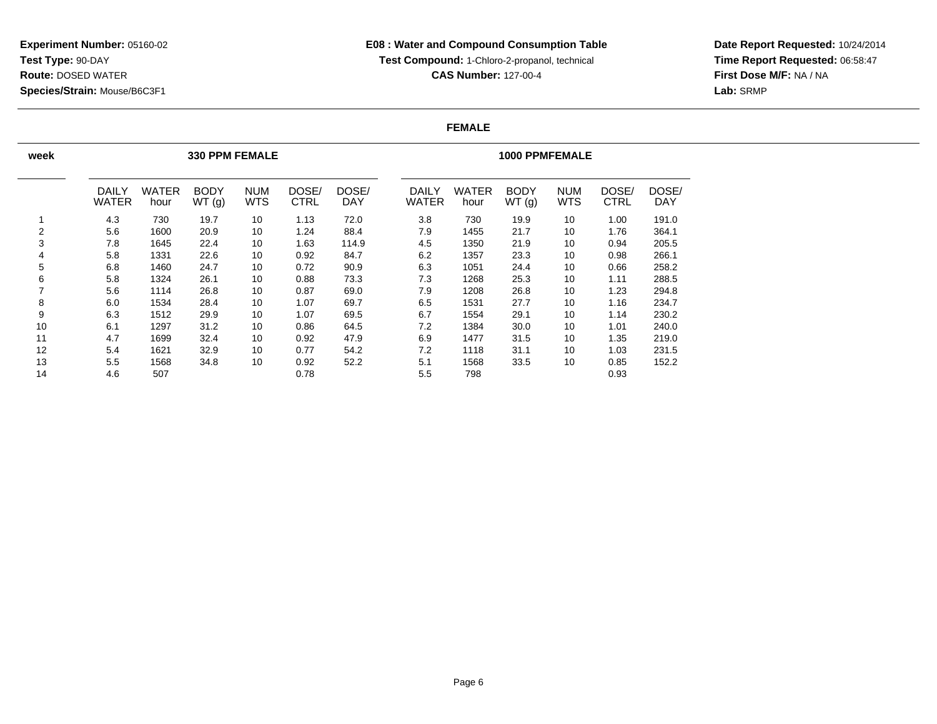**Date Report Requested:** 10/24/2014 **Time Report Requested:** 06:58:47**First Dose M/F:** NA / NA**Lab:** SRMP

#### **FEMALE**

| week |                       |               | <b>330 PPM FEMALE</b> |                          |                      |                     | <b>1000 PPMFEMALE</b>        |                      |                      |                          |                      |                     |  |  |
|------|-----------------------|---------------|-----------------------|--------------------------|----------------------|---------------------|------------------------------|----------------------|----------------------|--------------------------|----------------------|---------------------|--|--|
|      | DAILY<br><b>WATER</b> | WATER<br>hour | <b>BODY</b><br>WT(g)  | <b>NUM</b><br><b>WTS</b> | DOSE/<br><b>CTRL</b> | DOSE/<br><b>DAY</b> | <b>DAILY</b><br><b>WATER</b> | <b>WATER</b><br>hour | <b>BODY</b><br>WT(g) | <b>NUM</b><br><b>WTS</b> | DOSE/<br><b>CTRL</b> | DOSE/<br><b>DAY</b> |  |  |
|      | 4.3                   | 730           | 19.7                  | 10                       | 1.13                 | 72.0                | 3.8                          | 730                  | 19.9                 | 10                       | 1.00                 | 191.0               |  |  |
| 2    | 5.6                   | 1600          | 20.9                  | 10                       | 1.24                 | 88.4                | 7.9                          | 1455                 | 21.7                 | 10                       | 1.76                 | 364.1               |  |  |
| 3    | 7.8                   | 1645          | 22.4                  | 10                       | 1.63                 | 114.9               | 4.5                          | 1350                 | 21.9                 | 10                       | 0.94                 | 205.5               |  |  |
| 4    | 5.8                   | 1331          | 22.6                  | 10                       | 0.92                 | 84.7                | 6.2                          | 1357                 | 23.3                 | 10                       | 0.98                 | 266.1               |  |  |
| 5    | 6.8                   | 1460          | 24.7                  | 10                       | 0.72                 | 90.9                | 6.3                          | 1051                 | 24.4                 | 10                       | 0.66                 | 258.2               |  |  |
| 6    | 5.8                   | 1324          | 26.1                  | 10                       | 0.88                 | 73.3                | 7.3                          | 1268                 | 25.3                 | 10                       | 1.11                 | 288.5               |  |  |
| 7    | 5.6                   | 1114          | 26.8                  | 10                       | 0.87                 | 69.0                | 7.9                          | 1208                 | 26.8                 | 10                       | 1.23                 | 294.8               |  |  |
| 8    | 6.0                   | 1534          | 28.4                  | 10                       | 1.07                 | 69.7                | 6.5                          | 1531                 | 27.7                 | 10                       | 1.16                 | 234.7               |  |  |
| 9    | 6.3                   | 1512          | 29.9                  | 10                       | 1.07                 | 69.5                | 6.7                          | 1554                 | 29.1                 | 10                       | 1.14                 | 230.2               |  |  |
| 10   | 6.1                   | 1297          | 31.2                  | 10                       | 0.86                 | 64.5                | 7.2                          | 1384                 | 30.0                 | 10                       | 1.01                 | 240.0               |  |  |
| 11   | 4.7                   | 1699          | 32.4                  | 10                       | 0.92                 | 47.9                | 6.9                          | 1477                 | 31.5                 | 10                       | 1.35                 | 219.0               |  |  |
| 12   | 5.4                   | 1621          | 32.9                  | 10                       | 0.77                 | 54.2                | 7.2                          | 1118                 | 31.1                 | 10                       | 1.03                 | 231.5               |  |  |
| 13   | 5.5                   | 1568          | 34.8                  | 10                       | 0.92                 | 52.2                | 5.1                          | 1568                 | 33.5                 | 10                       | 0.85                 | 152.2               |  |  |
| 14   | 4.6                   | 507           |                       |                          | 0.78                 |                     | 5.5                          | 798                  |                      |                          | 0.93                 |                     |  |  |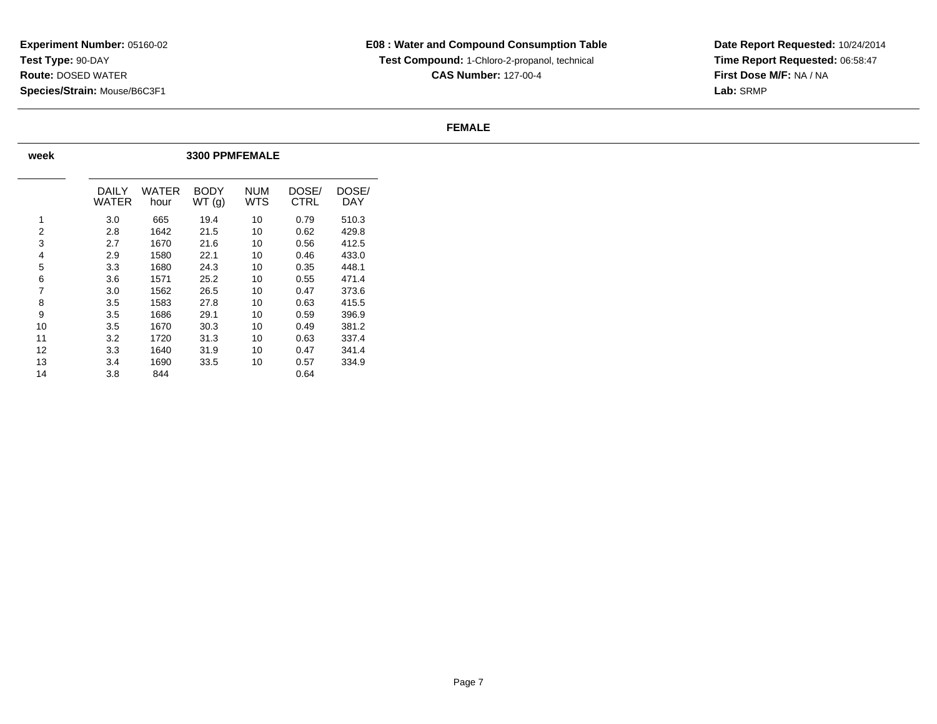**Date Report Requested:** 10/24/2014 **Time Report Requested:** 06:58:47**First Dose M/F:** NA / NA**Lab:** SRMP

#### **FEMALE**

| week |                | <b>3300 PPMFEMALE</b> |                      |            |               |              |  |  |  |  |  |  |  |  |  |
|------|----------------|-----------------------|----------------------|------------|---------------|--------------|--|--|--|--|--|--|--|--|--|
|      | DAILY<br>WATER | WATER<br>hour         | <b>BODY</b><br>WT(g) | NUM<br>WTS | DOSE/<br>CTRL | DOSE/<br>DAY |  |  |  |  |  |  |  |  |  |
| 1    | 3.0            | 665                   | 19.4                 | 10         | 0.79          | 510.3        |  |  |  |  |  |  |  |  |  |
| 2    | 2.8            | 1642                  | 21.5                 | 10         | 0.62          | 429.8        |  |  |  |  |  |  |  |  |  |
| 3    | 2.7            | 1670                  | 21.6                 | 10         | 0.56          | 412.5        |  |  |  |  |  |  |  |  |  |
| 4    | 2.9            | 1580                  | 22.1                 | 10         | 0.46          | 433.0        |  |  |  |  |  |  |  |  |  |
| 5    | 3.3            | 1680                  | 24.3                 | 10         | 0.35          | 448.1        |  |  |  |  |  |  |  |  |  |
| 6    | 3.6            | 1571                  | 25.2                 | 10         | 0.55          | 471.4        |  |  |  |  |  |  |  |  |  |
| 7    | 3.0            | 1562                  | 26.5                 | 10         | 0.47          | 373.6        |  |  |  |  |  |  |  |  |  |
| 8    | 3.5            | 1583                  | 27.8                 | 10         | 0.63          | 415.5        |  |  |  |  |  |  |  |  |  |
| 9    | 3.5            | 1686                  | 29.1                 | 10         | 0.59          | 396.9        |  |  |  |  |  |  |  |  |  |
| 10   | 3.5            | 1670                  | 30.3                 | 10         | 0.49          | 381.2        |  |  |  |  |  |  |  |  |  |
| 11   | 3.2            | 1720                  | 31.3                 | 10         | 0.63          | 337.4        |  |  |  |  |  |  |  |  |  |
| 12   | 3.3            | 1640                  | 31.9                 | 10         | 0.47          | 341.4        |  |  |  |  |  |  |  |  |  |
| 13   | 3.4            | 1690                  | 33.5                 | 10         | 0.57          | 334.9        |  |  |  |  |  |  |  |  |  |
| 14   | 3.8            | 844                   |                      |            | 0.64          |              |  |  |  |  |  |  |  |  |  |